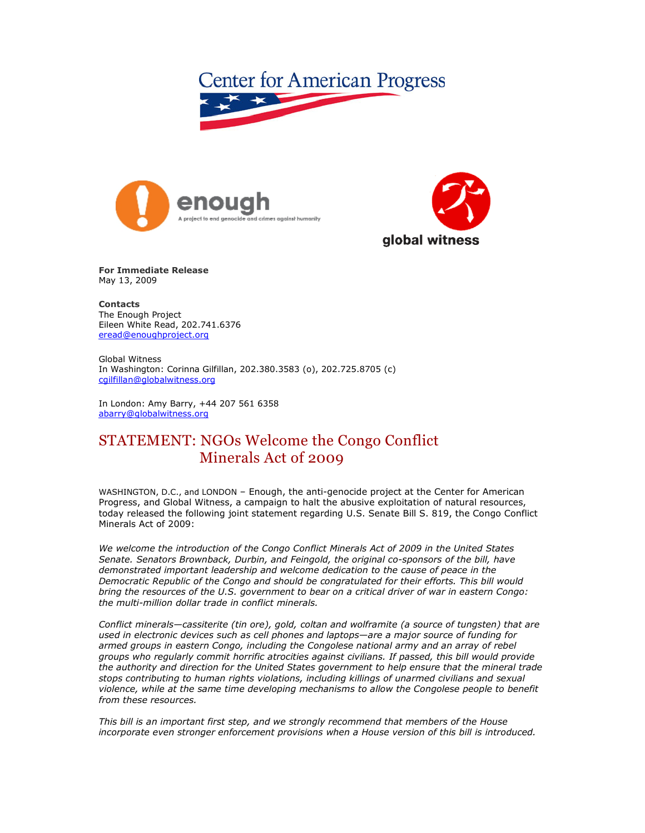





**For Immediate Release** May 13, 2009

**Contacts**  The Enough Project Eileen White Read, 202.741.6376 eread@enoughproject.org

Global Witness In Washington: Corinna Gilfillan, 202.380.3583 (o), 202.725.8705 (c) cgilfillan@globalwitness.org

In London: Amy Barry, +44 207 561 6358 abarry@globalwitness.org

## STATEMENT: NGOs Welcome the Congo Conflict Minerals Act of 2009

WASHINGTON, D.C., and LONDON – Enough, the anti-genocide project at the Center for American Progress, and Global Witness, a campaign to halt the abusive exploitation of natural resources, today released the following joint statement regarding U.S. Senate Bill S. 819, the Congo Conflict Minerals Act of 2009:

*We welcome the introduction of the Congo Conflict Minerals Act of 2009 in the United States Senate. Senators Brownback, Durbin, and Feingold, the original co-sponsors of the bill, have demonstrated important leadership and welcome dedication to the cause of peace in the Democratic Republic of the Congo and should be congratulated for their efforts. This bill would bring the resources of the U.S. government to bear on a critical driver of war in eastern Congo: the multi-million dollar trade in conflict minerals.* 

*Conflict minerals—cassiterite (tin ore), gold, coltan and wolframite (a source of tungsten) that are used in electronic devices such as cell phones and laptops—are a major source of funding for armed groups in eastern Congo, including the Congolese national army and an array of rebel groups who regularly commit horrific atrocities against civilians. If passed, this bill would provide the authority and direction for the United States government to help ensure that the mineral trade stops contributing to human rights violations, including killings of unarmed civilians and sexual violence, while at the same time developing mechanisms to allow the Congolese people to benefit from these resources.* 

*This bill is an important first step, and we strongly recommend that members of the House incorporate even stronger enforcement provisions when a House version of this bill is introduced.*